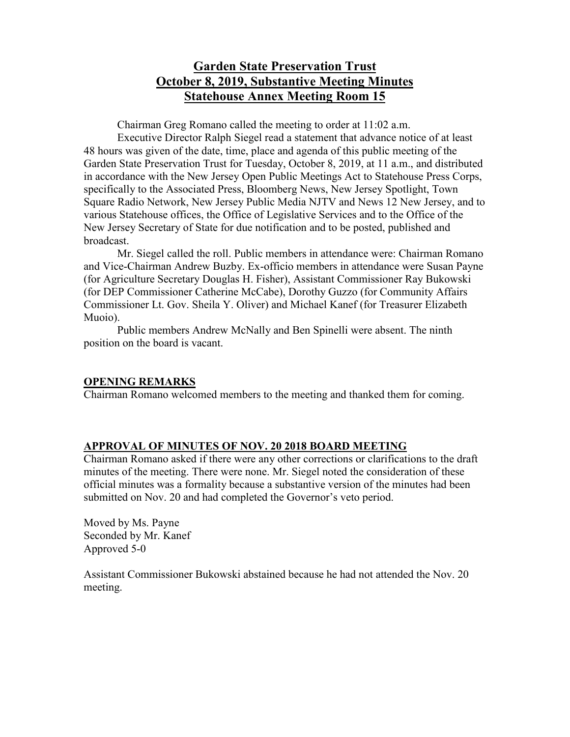# **Garden State Preservation Trust October 8, 2019, Substantive Meeting Minutes Statehouse Annex Meeting Room 15**

Chairman Greg Romano called the meeting to order at 11:02 a.m.

Executive Director Ralph Siegel read a statement that advance notice of at least 48 hours was given of the date, time, place and agenda of this public meeting of the Garden State Preservation Trust for Tuesday, October 8, 2019, at 11 a.m., and distributed in accordance with the New Jersey Open Public Meetings Act to Statehouse Press Corps, specifically to the Associated Press, Bloomberg News, New Jersey Spotlight, Town Square Radio Network, New Jersey Public Media NJTV and News 12 New Jersey, and to various Statehouse offices, the Office of Legislative Services and to the Office of the New Jersey Secretary of State for due notification and to be posted, published and broadcast.

Mr. Siegel called the roll. Public members in attendance were: Chairman Romano and Vice-Chairman Andrew Buzby. Ex-officio members in attendance were Susan Payne (for Agriculture Secretary Douglas H. Fisher), Assistant Commissioner Ray Bukowski (for DEP Commissioner Catherine McCabe), Dorothy Guzzo (for Community Affairs Commissioner Lt. Gov. Sheila Y. Oliver) and Michael Kanef (for Treasurer Elizabeth Muoio).

Public members Andrew McNally and Ben Spinelli were absent. The ninth position on the board is vacant.

### **OPENING REMARKS**

Chairman Romano welcomed members to the meeting and thanked them for coming.

#### **APPROVAL OF MINUTES OF NOV. 20 2018 BOARD MEETING**

Chairman Romano asked if there were any other corrections or clarifications to the draft minutes of the meeting. There were none. Mr. Siegel noted the consideration of these official minutes was a formality because a substantive version of the minutes had been submitted on Nov. 20 and had completed the Governor's veto period.

Moved by Ms. Payne Seconded by Mr. Kanef Approved 5-0

Assistant Commissioner Bukowski abstained because he had not attended the Nov. 20 meeting.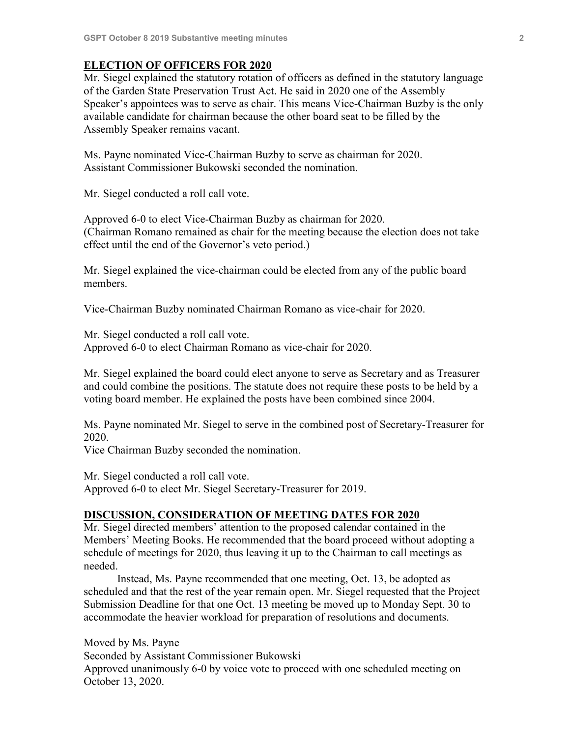### **ELECTION OF OFFICERS FOR 2020**

Mr. Siegel explained the statutory rotation of officers as defined in the statutory language of the Garden State Preservation Trust Act. He said in 2020 one of the Assembly Speaker's appointees was to serve as chair. This means Vice-Chairman Buzby is the only available candidate for chairman because the other board seat to be filled by the Assembly Speaker remains vacant.

Ms. Payne nominated Vice-Chairman Buzby to serve as chairman for 2020. Assistant Commissioner Bukowski seconded the nomination.

Mr. Siegel conducted a roll call vote.

Approved 6-0 to elect Vice-Chairman Buzby as chairman for 2020. (Chairman Romano remained as chair for the meeting because the election does not take effect until the end of the Governor's veto period.)

Mr. Siegel explained the vice-chairman could be elected from any of the public board members.

Vice-Chairman Buzby nominated Chairman Romano as vice-chair for 2020.

Mr. Siegel conducted a roll call vote. Approved 6-0 to elect Chairman Romano as vice-chair for 2020.

Mr. Siegel explained the board could elect anyone to serve as Secretary and as Treasurer and could combine the positions. The statute does not require these posts to be held by a voting board member. He explained the posts have been combined since 2004.

Ms. Payne nominated Mr. Siegel to serve in the combined post of Secretary-Treasurer for 2020.

Vice Chairman Buzby seconded the nomination.

Mr. Siegel conducted a roll call vote. Approved 6-0 to elect Mr. Siegel Secretary-Treasurer for 2019.

#### **DISCUSSION, CONSIDERATION OF MEETING DATES FOR 2020**

Mr. Siegel directed members' attention to the proposed calendar contained in the Members' Meeting Books. He recommended that the board proceed without adopting a schedule of meetings for 2020, thus leaving it up to the Chairman to call meetings as needed.

Instead, Ms. Payne recommended that one meeting, Oct. 13, be adopted as scheduled and that the rest of the year remain open. Mr. Siegel requested that the Project Submission Deadline for that one Oct. 13 meeting be moved up to Monday Sept. 30 to accommodate the heavier workload for preparation of resolutions and documents.

Moved by Ms. Payne Seconded by Assistant Commissioner Bukowski Approved unanimously 6-0 by voice vote to proceed with one scheduled meeting on October 13, 2020.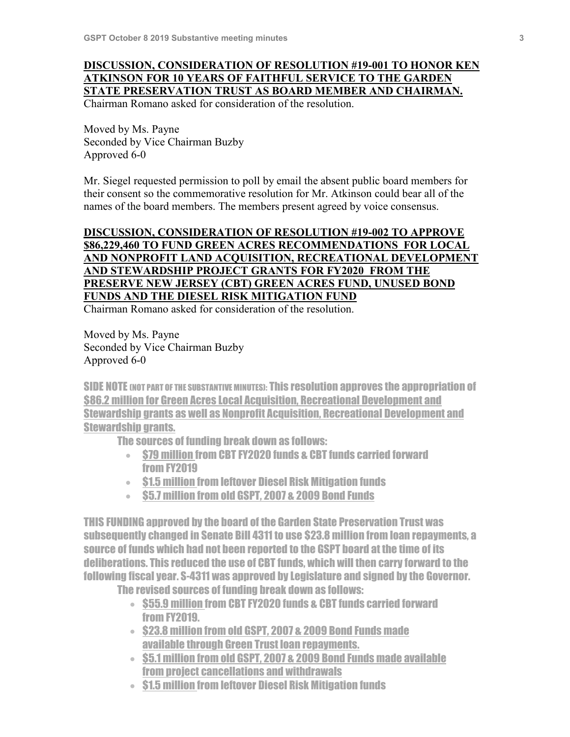# **DISCUSSION, CONSIDERATION OF RESOLUTION #19-001 TO HONOR KEN ATKINSON FOR 10 YEARS OF FAITHFUL SERVICE TO THE GARDEN STATE PRESERVATION TRUST AS BOARD MEMBER AND CHAIRMAN.**

Chairman Romano asked for consideration of the resolution.

Moved by Ms. Payne Seconded by Vice Chairman Buzby Approved 6-0

Mr. Siegel requested permission to poll by email the absent public board members for their consent so the commemorative resolution for Mr. Atkinson could bear all of the names of the board members. The members present agreed by voice consensus.

# **DISCUSSION, CONSIDERATION OF RESOLUTION #19-002 TO APPROVE \$86,229,460 TO FUND GREEN ACRES RECOMMENDATIONS FOR LOCAL AND NONPROFIT LAND ACQUISITION, RECREATIONAL DEVELOPMENT AND STEWARDSHIP PROJECT GRANTS FOR FY2020 FROM THE PRESERVE NEW JERSEY (CBT) GREEN ACRES FUND, UNUSED BOND FUNDS AND THE DIESEL RISK MITIGATION FUND**

Chairman Romano asked for consideration of the resolution.

Moved by Ms. Payne Seconded by Vice Chairman Buzby Approved 6-0

SIDE NOTE (NOT PART OF THE SUBSTANTIVE MINUTES): This resolution approves the appropriation of \$86.2 million for Green Acres Local Acquisition, Recreational Development and Stewardship grants as well as Nonprofit Acquisition, Recreational Development and Stewardship grants.

The sources of funding break down as follows:

- \$79 million from CBT FY2020 funds & CBT funds carried forward from FY2019
- \$1.5 million from leftover Diesel Risk Mitigation funds
- \$5.7 million from old GSPT, 2007 & 2009 Bond Funds

THIS FUNDING approved by the board of the Garden State Preservation Trust was subsequently changed in Senate Bill 4311 to use \$23.8 million from loan repayments, a source of funds which had not been reported to the GSPT board at the time of its deliberations. This reduced the use of CBT funds, which will then carry forward to the following fiscal year. S-4311 was approved by Legislature and signed by the Governor.

The revised sources of funding break down as follows:

- \$55.9 million from CBT FY2020 funds & CBT funds carried forward from FY2019.
- \$23.8 million from old GSPT, 2007 & 2009 Bond Funds made available through Green Trust loan repayments.
- \$5.1 million from old GSPT, 2007 & 2009 Bond Funds made available from project cancellations and withdrawals
- \$1.5 million from leftover Diesel Risk Mitigation funds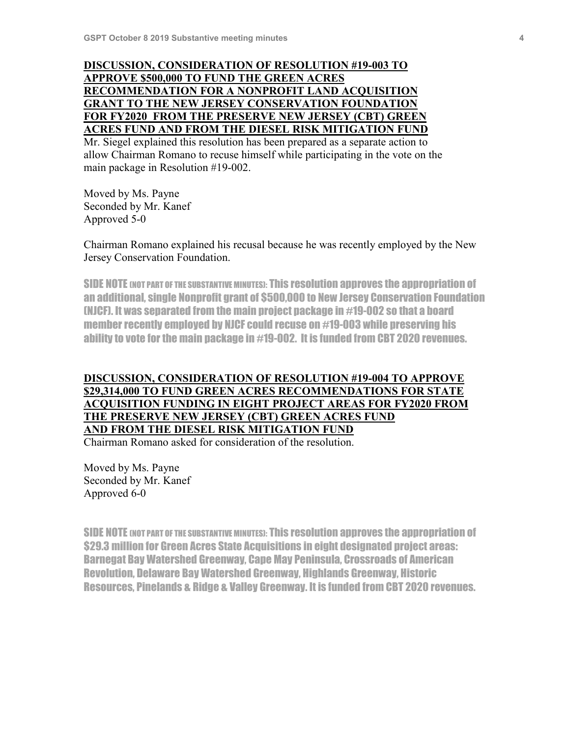## **DISCUSSION, CONSIDERATION OF RESOLUTION #19-003 TO APPROVE \$500,000 TO FUND THE GREEN ACRES RECOMMENDATION FOR A NONPROFIT LAND ACQUISITION GRANT TO THE NEW JERSEY CONSERVATION FOUNDATION FOR FY2020 FROM THE PRESERVE NEW JERSEY (CBT) GREEN ACRES FUND AND FROM THE DIESEL RISK MITIGATION FUND**

Mr. Siegel explained this resolution has been prepared as a separate action to allow Chairman Romano to recuse himself while participating in the vote on the main package in Resolution #19-002.

Moved by Ms. Payne Seconded by Mr. Kanef Approved 5-0

Chairman Romano explained his recusal because he was recently employed by the New Jersey Conservation Foundation.

SIDE NOTE (NOT PART OF THE SUBSTANTIVE MINUTES): This resolution approves the appropriation of an additional, single Nonprofit grant of \$500,000 to New Jersey Conservation Foundation (NJCF). It was separated from the main project package in #19-002 so that a board member recently employed by NJCF could recuse on #19-003 while preserving his ability to vote for the main package in #19-002. It is funded from CBT 2020 revenues.

# **DISCUSSION, CONSIDERATION OF RESOLUTION #19-004 TO APPROVE \$29,314,000 TO FUND GREEN ACRES RECOMMENDATIONS FOR STATE ACQUISITION FUNDING IN EIGHT PROJECT AREAS FOR FY2020 FROM THE PRESERVE NEW JERSEY (CBT) GREEN ACRES FUND AND FROM THE DIESEL RISK MITIGATION FUND**

Chairman Romano asked for consideration of the resolution.

Moved by Ms. Payne Seconded by Mr. Kanef Approved 6-0

SIDE NOTE (NOT PART OF THE SUBSTANTIVE MINUTES): This resolution approves the appropriation of \$29.3 million for Green Acres State Acquisitions in eight designated project areas: Barnegat Bay Watershed Greenway, Cape May Peninsula, Crossroads of American Revolution, Delaware Bay Watershed Greenway, Highlands Greenway, Historic Resources, Pinelands & Ridge & Valley Greenway. It is funded from CBT 2020 revenues.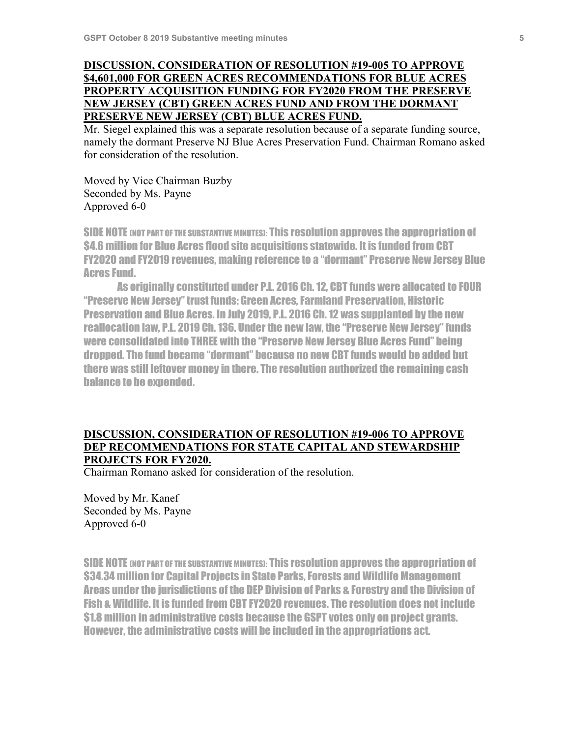## **DISCUSSION, CONSIDERATION OF RESOLUTION #19-005 TO APPROVE \$4,601,000 FOR GREEN ACRES RECOMMENDATIONS FOR BLUE ACRES PROPERTY ACQUISITION FUNDING FOR FY2020 FROM THE PRESERVE NEW JERSEY (CBT) GREEN ACRES FUND AND FROM THE DORMANT PRESERVE NEW JERSEY (CBT) BLUE ACRES FUND.**

Mr. Siegel explained this was a separate resolution because of a separate funding source, namely the dormant Preserve NJ Blue Acres Preservation Fund. Chairman Romano asked for consideration of the resolution.

Moved by Vice Chairman Buzby Seconded by Ms. Payne Approved 6-0

SIDE NOTE (NOT PART OF THE SUBSTANTIVE MINUTES): This resolution approves the appropriation of \$4.6 million for Blue Acres flood site acquisitions statewide. It is funded from CBT FY2020 and FY2019 revenues, making reference to a "dormant" Preserve New Jersey Blue Acres Fund.

As originally constituted under P.L. 2016 Ch. 12, CBT funds were allocated to FOUR "Preserve New Jersey" trust funds: Green Acres, Farmland Preservation, Historic Preservation and Blue Acres. In July 2019, P.L. 2016 Ch. 12 was supplanted by the new reallocation law, P.L. 2019 Ch. 136. Under the new law, the "Preserve New Jersey" funds were consolidated into THREE with the "Preserve New Jersey Blue Acres Fund" being dropped. The fund became "dormant" because no new CBT funds would be added but there was still leftover money in there. The resolution authorized the remaining cash balance to be expended.

### **DISCUSSION, CONSIDERATION OF RESOLUTION #19-006 TO APPROVE DEP RECOMMENDATIONS FOR STATE CAPITAL AND STEWARDSHIP PROJECTS FOR FY2020.**

Chairman Romano asked for consideration of the resolution.

Moved by Mr. Kanef Seconded by Ms. Payne Approved 6-0

SIDE NOTE (NOT PART OF THE SUBSTANTIVE MINUTES): This resolution approves the appropriation of \$34.34 million for Capital Projects in State Parks, Forests and Wildlife Management Areas under the jurisdictions of the DEP Division of Parks & Forestry and the Division of Fish & Wildlife. It is funded from CBT FY2020 revenues. The resolution does not include \$1.8 million in administrative costs because the GSPT votes only on project grants. However, the administrative costs will be included in the appropriations act.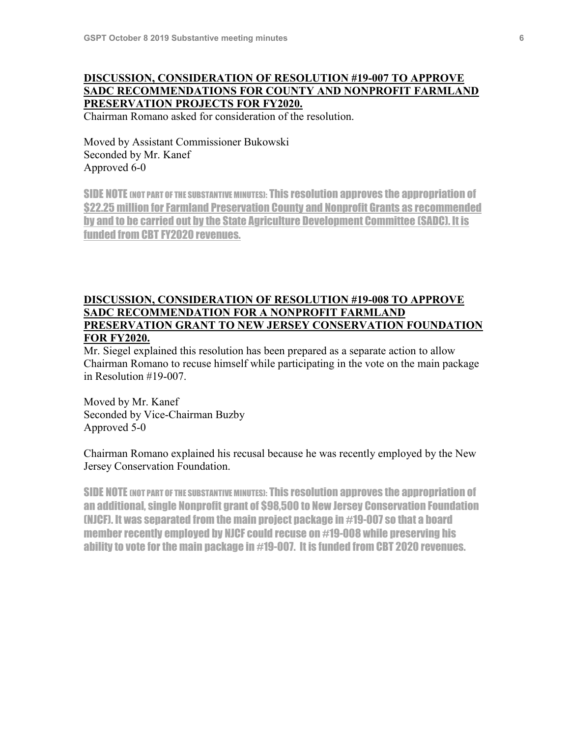# **DISCUSSION, CONSIDERATION OF RESOLUTION #19-007 TO APPROVE SADC RECOMMENDATIONS FOR COUNTY AND NONPROFIT FARMLAND PRESERVATION PROJECTS FOR FY2020.**

Chairman Romano asked for consideration of the resolution.

Moved by Assistant Commissioner Bukowski Seconded by Mr. Kanef Approved 6-0

SIDE NOTE (NOT PART OF THE SUBSTANTIVE MINUTES): This resolution approves the appropriation of \$22.25 million for Farmland Preservation County and Nonprofit Grants as recommended by and to be carried out by the State Agriculture Development Committee (SADC). It is funded from CBT FY2020 revenues.

### **DISCUSSION, CONSIDERATION OF RESOLUTION #19-008 TO APPROVE SADC RECOMMENDATION FOR A NONPROFIT FARMLAND PRESERVATION GRANT TO NEW JERSEY CONSERVATION FOUNDATION FOR FY2020.**

Mr. Siegel explained this resolution has been prepared as a separate action to allow Chairman Romano to recuse himself while participating in the vote on the main package in Resolution #19-007.

Moved by Mr. Kanef Seconded by Vice-Chairman Buzby Approved 5-0

Chairman Romano explained his recusal because he was recently employed by the New Jersey Conservation Foundation.

SIDE NOTE (NOT PART OF THE SUBSTANTIVE MINUTES): This resolution approves the appropriation of an additional, single Nonprofit grant of \$98,500 to New Jersey Conservation Foundation (NJCF). It was separated from the main project package in #19-007 so that a board member recently employed by NJCF could recuse on #19-008 while preserving his ability to vote for the main package in #19-007. It is funded from CBT 2020 revenues.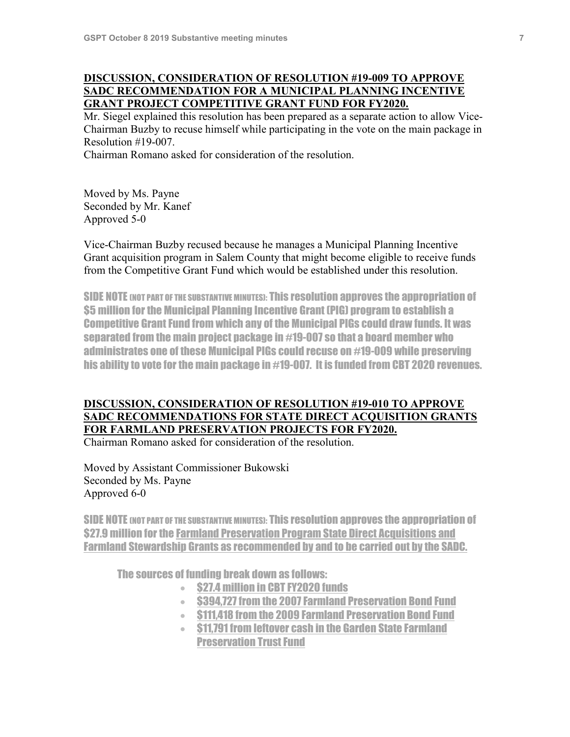## **DISCUSSION, CONSIDERATION OF RESOLUTION #19-009 TO APPROVE SADC RECOMMENDATION FOR A MUNICIPAL PLANNING INCENTIVE GRANT PROJECT COMPETITIVE GRANT FUND FOR FY2020.**

Mr. Siegel explained this resolution has been prepared as a separate action to allow Vice-Chairman Buzby to recuse himself while participating in the vote on the main package in Resolution #19-007.

Chairman Romano asked for consideration of the resolution.

Moved by Ms. Payne Seconded by Mr. Kanef Approved 5-0

Vice-Chairman Buzby recused because he manages a Municipal Planning Incentive Grant acquisition program in Salem County that might become eligible to receive funds from the Competitive Grant Fund which would be established under this resolution.

SIDE NOTE (NOT PART OF THE SUBSTANTIVE MINUTES): This resolution approves the appropriation of \$5 million for the Municipal Planning Incentive Grant (PIG) program to establish a Competitive Grant Fund from which any of the Municipal PIGs could draw funds. It was separated from the main project package in #19-007 so that a board member who administrates one of these Municipal PIGs could recuse on #19-009 while preserving his ability to vote for the main package in #19-007. It is funded from CBT 2020 revenues.

# **DISCUSSION, CONSIDERATION OF RESOLUTION #19-010 TO APPROVE SADC RECOMMENDATIONS FOR STATE DIRECT ACQUISITION GRANTS FOR FARMLAND PRESERVATION PROJECTS FOR FY2020.**

Chairman Romano asked for consideration of the resolution.

Moved by Assistant Commissioner Bukowski Seconded by Ms. Payne Approved 6-0

SIDE NOTE (NOT PART OF THE SUBSTANTIVE MINUTES): This resolution approves the appropriation of \$27.9 million for the Farmland Preservation Program State Direct Acquisitions and Farmland Stewardship Grants as recommended by and to be carried out by the SADC.

The sources of funding break down as follows:

- \$27.4 million in CBT FY2020 funds
- \$394,727 from the 2007 Farmland Preservation Bond Fund
- \$111,418 from the 2009 Farmland Preservation Bond Fund
- \$11,791 from leftover cash in the Garden State Farmland Preservation Trust Fund